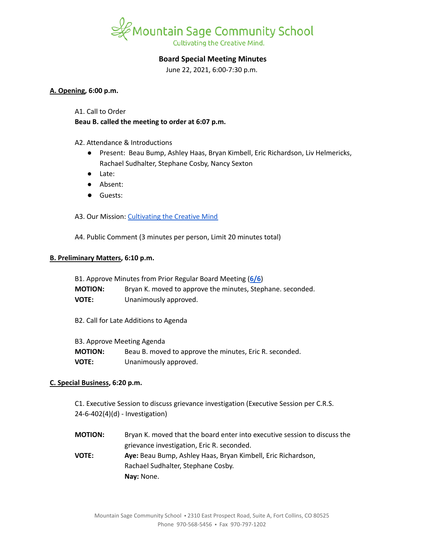

# **Board Special Meeting Minutes**

June 22, 2021, 6:00-7:30 p.m.

### **A. Opening, 6:00 p.m.**

A1. Call to Order

**Beau B. called the meeting to order at 6:07 p.m.**

A2. Attendance & Introductions

- Present: Beau Bump, Ashley Haas, Bryan Kimbell, Eric Richardson, Liv Helmericks, Rachael Sudhalter, Stephane Cosby, Nancy Sexton
- Late:
- Absent:
- Guests:

A3. Our Mission: [Cultivating](https://www.mountainsage.org/about-us/mission-and-vision/) the Creative Mind

A4. Public Comment (3 minutes per person, Limit 20 minutes total)

### **B. Preliminary Matters, 6:10 p.m.**

| B1. Approve Minutes from Prior Regular Board Meeting (6/6) |                                                            |
|------------------------------------------------------------|------------------------------------------------------------|
| <b>MOTION:</b>                                             | Bryan K. moved to approve the minutes, Stephane. seconded. |
| <b>VOTE:</b>                                               | Unanimously approved.                                      |
| B2. Call for Late Additions to Agenda                      |                                                            |
| B3. Approve Meeting Agenda                                 |                                                            |
| <b>MOTION:</b>                                             | Beau B. moved to approve the minutes, Eric R. seconded.    |

**VOTE:** Unanimously approved.

## **C. Special Business, 6:20 p.m.**

C1. Executive Session to discuss grievance investigation (Executive Session per C.R.S. 24-6-402(4)(d) - Investigation)

**MOTION:** Bryan K. moved that the board enter into executive session to discuss the grievance investigation, Eric R. seconded. **VOTE: Aye:** Beau Bump, Ashley Haas, Bryan Kimbell, Eric Richardson, Rachael Sudhalter, Stephane Cosby. **Nay:** None.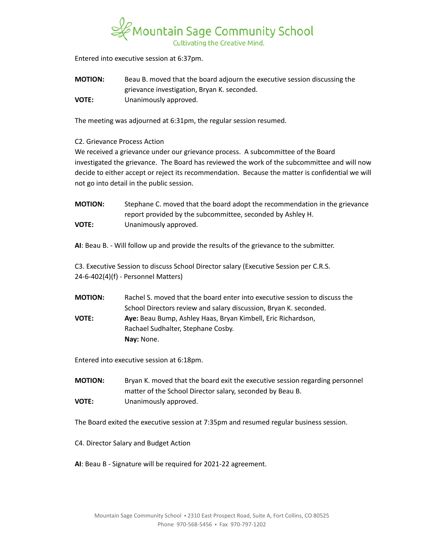

Entered into executive session at 6:37pm.

**MOTION:** Beau B. moved that the board adjourn the executive session discussing the grievance investigation, Bryan K. seconded. **VOTE:** Unanimously approved.

The meeting was adjourned at 6:31pm, the regular session resumed.

C2. Grievance Process Action

We received a grievance under our grievance process. A subcommittee of the Board investigated the grievance. The Board has reviewed the work of the subcommittee and will now decide to either accept or reject its recommendation. Because the matter is confidential we will not go into detail in the public session.

**MOTION:** Stephane C. moved that the board adopt the recommendation in the grievance report provided by the subcommittee, seconded by Ashley H. **VOTE:** Unanimously approved.

**AI**: Beau B. - Will follow up and provide the results of the grievance to the submitter.

C3. Executive Session to discuss School Director salary (Executive Session per C.R.S. 24-6-402(4)(f) - Personnel Matters)

**MOTION:** Rachel S. moved that the board enter into executive session to discuss the School Directors review and salary discussion, Bryan K. seconded. **VOTE: Aye:** Beau Bump, Ashley Haas, Bryan Kimbell, Eric Richardson, Rachael Sudhalter, Stephane Cosby. **Nay:** None.

Entered into executive session at 6:18pm.

**MOTION:** Bryan K. moved that the board exit the executive session regarding personnel matter of the School Director salary, seconded by Beau B. **VOTE:** Unanimously approved.

The Board exited the executive session at 7:35pm and resumed regular business session.

- C4. Director Salary and Budget Action
- **AI**: Beau B Signature will be required for 2021-22 agreement.